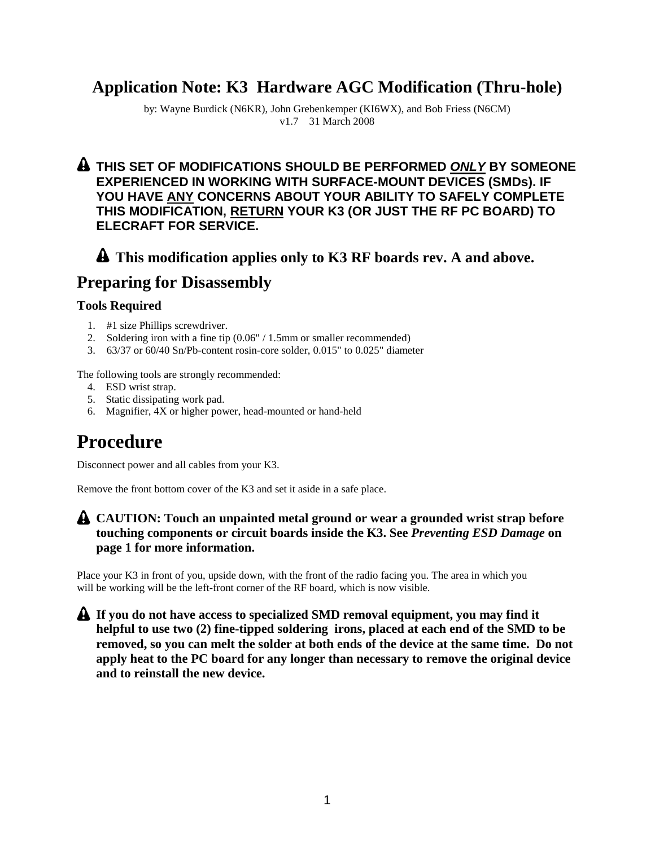## **Application Note: K3 Hardware AGC Modification (Thru-hole)**

by: Wayne Burdick (N6KR), John Grebenkemper (KI6WX), and Bob Friess (N6CM) v1.7 31 March 2008

#### **THIS SET OF MODIFICATIONS SHOULD BE PERFORMED** *ONLY* **BY SOMEONE EXPERIENCED IN WORKING WITH SURFACE-MOUNT DEVICES (SMDs). IF YOU HAVE ANY CONCERNS ABOUT YOUR ABILITY TO SAFELY COMPLETE THIS MODIFICATION, RETURN YOUR K3 (OR JUST THE RF PC BOARD) TO ELECRAFT FOR SERVICE.**

### **This modification applies only to K3 RF boards rev. A and above.**

## **Preparing for Disassembly**

#### **Tools Required**

- 1. #1 size Phillips screwdriver.
- 2. Soldering iron with a fine tip (0.06" / 1.5mm or smaller recommended)
- 3. 63/37 or 60/40 Sn/Pb-content rosin-core solder, 0.015" to 0.025" diameter

The following tools are strongly recommended:

- 4. ESD wrist strap.
- 5. Static dissipating work pad.
- 6. Magnifier, 4X or higher power, head-mounted or hand-held

# **Procedure**

Disconnect power and all cables from your K3.

Remove the front bottom cover of the K3 and set it aside in a safe place.

#### **CAUTION: Touch an unpainted metal ground or wear a grounded wrist strap before touching components or circuit boards inside the K3. See** *Preventing ESD Damage* **on page 1 for more information.**

Place your K3 in front of you, upside down, with the front of the radio facing you. The area in which you will be working will be the left-front corner of the RF board, which is now visible.

**If you do not have access to specialized SMD removal equipment, you may find it helpful to use two (2) fine-tipped soldering irons, placed at each end of the SMD to be removed, so you can melt the solder at both ends of the device at the same time. Do not apply heat to the PC board for any longer than necessary to remove the original device and to reinstall the new device.**